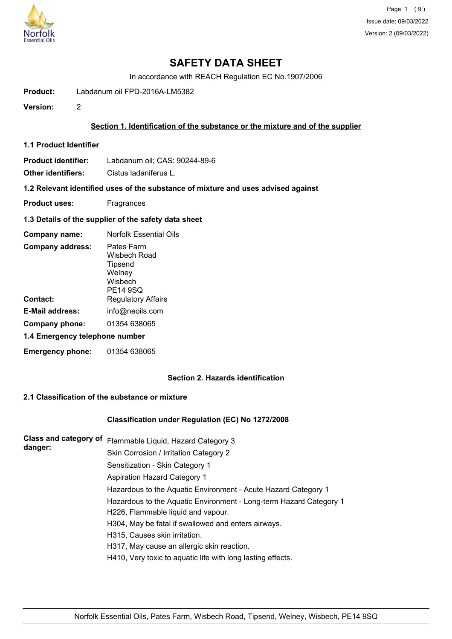

In accordance with REACH Regulation EC No.1907/2006

**Product:** Labdanum oil FPD-2016A-LM5382

**Version:** 2

#### **Section 1. Identification of the substance or the mixture and of the supplier**

**1.1 Product Identifier**

**Product identifier:** Labdanum oil; CAS: 90244-89-6

**Other identifiers:** Cistus ladaniferus L.

**1.2 Relevant identified uses of the substance of mixture and uses advised against**

- **Product uses:** Fragrances
- **1.3 Details of the supplier of the safety data sheet**

| Company name:                  | Norfolk Essential Oils                                                        |
|--------------------------------|-------------------------------------------------------------------------------|
| <b>Company address:</b>        | Pates Farm<br>Wisbech Road<br>Tipsend<br>Welney<br>Wisbech<br><b>PE14 9SQ</b> |
| Contact:                       | <b>Regulatory Affairs</b>                                                     |
| E-Mail address:                | info@neoils.com                                                               |
| Company phone:                 | 01354 638065                                                                  |
| 1.4 Emergency telephone number |                                                                               |
| <b>Emergency phone:</b>        | 01354 638065                                                                  |

## **Section 2. Hazards identification**

### **2.1 Classification of the substance or mixture**

#### **Classification under Regulation (EC) No 1272/2008**

| <b>Class and category of</b><br>danger: | Flammable Liquid, Hazard Category 3                                |
|-----------------------------------------|--------------------------------------------------------------------|
|                                         | Skin Corrosion / Irritation Category 2                             |
|                                         | Sensitization - Skin Category 1                                    |
|                                         | Aspiration Hazard Category 1                                       |
|                                         | Hazardous to the Aquatic Environment - Acute Hazard Category 1     |
|                                         | Hazardous to the Aquatic Environment - Long-term Hazard Category 1 |
|                                         | H226, Flammable liquid and vapour.                                 |
|                                         | H304, May be fatal if swallowed and enters airways.                |
|                                         | H315, Causes skin irritation.                                      |
|                                         | H317, May cause an allergic skin reaction.                         |
|                                         | H410, Very toxic to aquatic life with long lasting effects.        |
|                                         |                                                                    |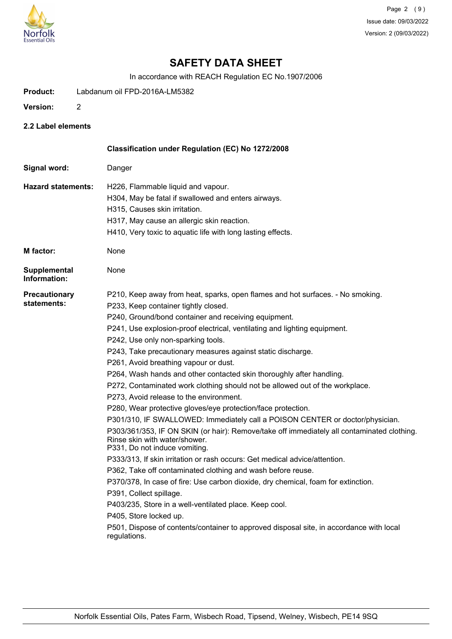

In accordance with REACH Regulation EC No.1907/2006

- **Product:** Labdanum oil FPD-2016A-LM5382
- **Version:** 2
- **2.2 Label elements**

|                                     | Classification under Regulation (EC) No 1272/2008                                                                                                                                                                                                                                                                                                                                                                                                                                                                                                                                                                                                                                                                                                                                                                                                                                                                                                                                                                                                                                                                                                                                                                                                                                                                                                                                         |
|-------------------------------------|-------------------------------------------------------------------------------------------------------------------------------------------------------------------------------------------------------------------------------------------------------------------------------------------------------------------------------------------------------------------------------------------------------------------------------------------------------------------------------------------------------------------------------------------------------------------------------------------------------------------------------------------------------------------------------------------------------------------------------------------------------------------------------------------------------------------------------------------------------------------------------------------------------------------------------------------------------------------------------------------------------------------------------------------------------------------------------------------------------------------------------------------------------------------------------------------------------------------------------------------------------------------------------------------------------------------------------------------------------------------------------------------|
| Signal word:                        | Danger                                                                                                                                                                                                                                                                                                                                                                                                                                                                                                                                                                                                                                                                                                                                                                                                                                                                                                                                                                                                                                                                                                                                                                                                                                                                                                                                                                                    |
| <b>Hazard statements:</b>           | H226, Flammable liquid and vapour.<br>H304, May be fatal if swallowed and enters airways.<br>H315, Causes skin irritation.<br>H317, May cause an allergic skin reaction.<br>H410, Very toxic to aquatic life with long lasting effects.                                                                                                                                                                                                                                                                                                                                                                                                                                                                                                                                                                                                                                                                                                                                                                                                                                                                                                                                                                                                                                                                                                                                                   |
| <b>M</b> factor:                    | None                                                                                                                                                                                                                                                                                                                                                                                                                                                                                                                                                                                                                                                                                                                                                                                                                                                                                                                                                                                                                                                                                                                                                                                                                                                                                                                                                                                      |
| <b>Supplemental</b><br>Information: | None                                                                                                                                                                                                                                                                                                                                                                                                                                                                                                                                                                                                                                                                                                                                                                                                                                                                                                                                                                                                                                                                                                                                                                                                                                                                                                                                                                                      |
| <b>Precautionary</b><br>statements: | P210, Keep away from heat, sparks, open flames and hot surfaces. - No smoking.<br>P233, Keep container tightly closed.<br>P240, Ground/bond container and receiving equipment.<br>P241, Use explosion-proof electrical, ventilating and lighting equipment.<br>P242, Use only non-sparking tools.<br>P243, Take precautionary measures against static discharge.<br>P261, Avoid breathing vapour or dust.<br>P264, Wash hands and other contacted skin thoroughly after handling.<br>P272, Contaminated work clothing should not be allowed out of the workplace.<br>P273, Avoid release to the environment.<br>P280, Wear protective gloves/eye protection/face protection.<br>P301/310, IF SWALLOWED: Immediately call a POISON CENTER or doctor/physician.<br>P303/361/353, IF ON SKIN (or hair): Remove/take off immediately all contaminated clothing.<br>Rinse skin with water/shower.<br>P331, Do not induce vomiting.<br>P333/313, If skin irritation or rash occurs: Get medical advice/attention.<br>P362, Take off contaminated clothing and wash before reuse.<br>P370/378, In case of fire: Use carbon dioxide, dry chemical, foam for extinction.<br>P391, Collect spillage.<br>P403/235, Store in a well-ventilated place. Keep cool.<br>P405, Store locked up.<br>P501, Dispose of contents/container to approved disposal site, in accordance with local<br>regulations. |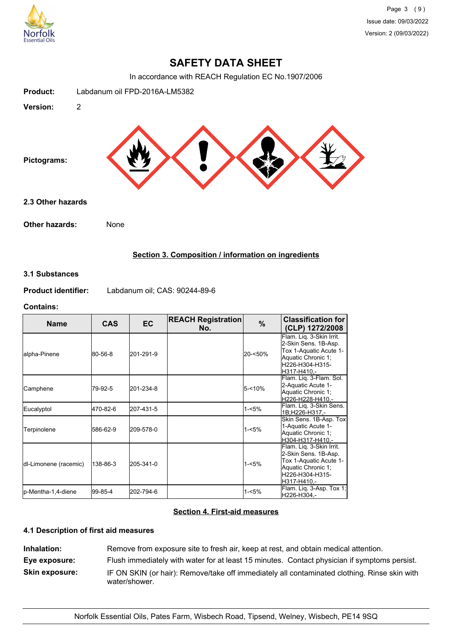

In accordance with REACH Regulation EC No.1907/2006



## **Section 3. Composition / information on ingredients**

#### **3.1 Substances**

**Product identifier:** Labdanum oil; CAS: 90244-89-6

#### **Contains:**

| <b>Name</b>           | <b>CAS</b> | <b>EC</b> | <b>REACH Registration</b><br>No. | $\%$      | <b>Classification for</b><br>(CLP) 1272/2008                                                                                        |
|-----------------------|------------|-----------|----------------------------------|-----------|-------------------------------------------------------------------------------------------------------------------------------------|
| alpha-Pinene          | 80-56-8    | 201-291-9 |                                  | 20-<50%   | Flam. Lig. 3-Skin Irrit.<br>2-Skin Sens. 1B-Asp.<br>Tox 1-Aquatic Acute 1-<br>Aquatic Chronic 1;<br>H226-H304-H315-<br>H317-H410,-  |
| Camphene              | 79-92-5    | 201-234-8 |                                  | $5 - 10%$ | Flam. Lig. 3-Flam. Sol.<br>2-Aquatic Acute 1-<br>Aquatic Chronic 1;<br>H226-H228-H410.-                                             |
| Eucalyptol            | 470-82-6   | 207-431-5 |                                  | $1 - 5%$  | Flam. Liq. 3-Skin Sens.<br>1B:H226-H317.-                                                                                           |
| Terpinolene           | 586-62-9   | 209-578-0 |                                  | 1-<5%     | Skin Sens. 1B-Asp. Tox<br>1-Aquatic Acute 1-<br>Aquatic Chronic 1;<br>H304-H317-H410.-                                              |
| dl-Limonene (racemic) | 138-86-3   | 205-341-0 |                                  | 1-<5%     | Flam. Liq. 3-Skin Irrit.<br>2-Skin Sens. 1B-Asp.<br>Tox 1-Aquatic Acute 1-<br>Aquatic Chronic 1;<br>H226-H304-H315-<br>IH317-H410.- |
| lp-Mentha-1,4-diene   | 99-85-4    | 202-794-6 |                                  | $1 - 5%$  | Flam. Liq. 3-Asp. Tox 1;<br>H226-H304,-                                                                                             |

## **Section 4. First-aid measures**

## **4.1 Description of first aid measures**

**Inhalation:** Remove from exposure site to fresh air, keep at rest, and obtain medical attention. **Eye exposure:** Flush immediately with water for at least 15 minutes. Contact physician if symptoms persist. **Skin exposure:** IF ON SKIN (or hair): Remove/take off immediately all contaminated clothing. Rinse skin with water/shower.

Norfolk Essential Oils, Pates Farm, Wisbech Road, Tipsend, Welney, Wisbech, PE14 9SQ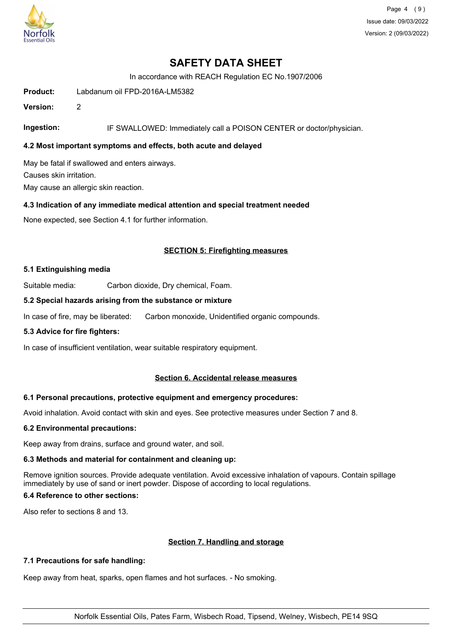

Page 4 (9) Issue date: 09/03/2022 Version: 2 (09/03/2022)

## **SAFETY DATA SHEET**

In accordance with REACH Regulation EC No.1907/2006

**Product:** Labdanum oil FPD-2016A-LM5382

**Version:** 2

**Ingestion:** IF SWALLOWED: Immediately call a POISON CENTER or doctor/physician.

### **4.2 Most important symptoms and effects, both acute and delayed**

May be fatal if swallowed and enters airways. Causes skin irritation. May cause an allergic skin reaction.

### **4.3 Indication of any immediate medical attention and special treatment needed**

None expected, see Section 4.1 for further information.

### **SECTION 5: Firefighting measures**

### **5.1 Extinguishing media**

Suitable media: Carbon dioxide, Dry chemical, Foam.

#### **5.2 Special hazards arising from the substance or mixture**

In case of fire, may be liberated: Carbon monoxide, Unidentified organic compounds.

### **5.3 Advice for fire fighters:**

In case of insufficient ventilation, wear suitable respiratory equipment.

### **Section 6. Accidental release measures**

#### **6.1 Personal precautions, protective equipment and emergency procedures:**

Avoid inhalation. Avoid contact with skin and eyes. See protective measures under Section 7 and 8.

#### **6.2 Environmental precautions:**

Keep away from drains, surface and ground water, and soil.

#### **6.3 Methods and material for containment and cleaning up:**

Remove ignition sources. Provide adequate ventilation. Avoid excessive inhalation of vapours. Contain spillage immediately by use of sand or inert powder. Dispose of according to local regulations.

## **6.4 Reference to other sections:**

Also refer to sections 8 and 13.

### **Section 7. Handling and storage**

#### **7.1 Precautions for safe handling:**

Keep away from heat, sparks, open flames and hot surfaces. - No smoking.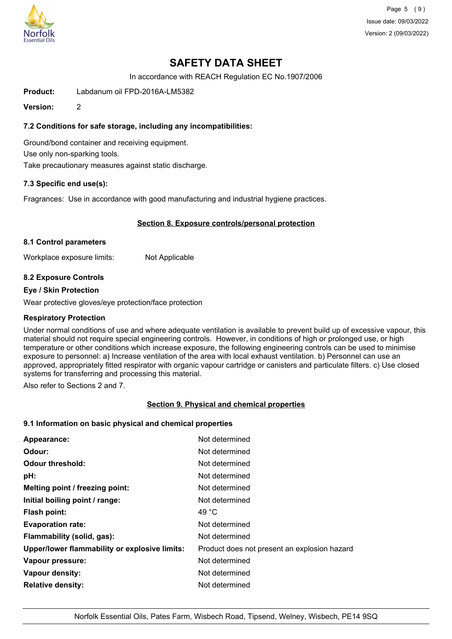

Page 5 (9) Issue date: 09/03/2022 Version: 2 (09/03/2022)

# **SAFETY DATA SHEET**

In accordance with REACH Regulation EC No.1907/2006

**Product:** Labdanum oil FPD-2016A-LM5382

**Version:** 2

## **7.2 Conditions for safe storage, including any incompatibilities:**

Ground/bond container and receiving equipment. Use only non-sparking tools. Take precautionary measures against static discharge.

### **7.3 Specific end use(s):**

Fragrances: Use in accordance with good manufacturing and industrial hygiene practices.

### **Section 8. Exposure controls/personal protection**

#### **8.1 Control parameters**

Workplace exposure limits: Not Applicable

### **8.2 Exposure Controls**

#### **Eye / Skin Protection**

Wear protective gloves/eye protection/face protection

#### **Respiratory Protection**

Under normal conditions of use and where adequate ventilation is available to prevent build up of excessive vapour, this material should not require special engineering controls. However, in conditions of high or prolonged use, or high temperature or other conditions which increase exposure, the following engineering controls can be used to minimise exposure to personnel: a) Increase ventilation of the area with local exhaust ventilation. b) Personnel can use an approved, appropriately fitted respirator with organic vapour cartridge or canisters and particulate filters. c) Use closed systems for transferring and processing this material.

Also refer to Sections 2 and 7.

### **Section 9. Physical and chemical properties**

#### **9.1 Information on basic physical and chemical properties**

| Appearance:                                   | Not determined                               |
|-----------------------------------------------|----------------------------------------------|
| Odour:                                        | Not determined                               |
| <b>Odour threshold:</b>                       | Not determined                               |
| pH:                                           | Not determined                               |
| Melting point / freezing point:               | Not determined                               |
| Initial boiling point / range:                | Not determined                               |
| <b>Flash point:</b>                           | 49 $^{\circ}$ C                              |
| <b>Evaporation rate:</b>                      | Not determined                               |
| Flammability (solid, gas):                    | Not determined                               |
| Upper/lower flammability or explosive limits: | Product does not present an explosion hazard |
| Vapour pressure:                              | Not determined                               |
| Vapour density:                               | Not determined                               |
| <b>Relative density:</b>                      | Not determined                               |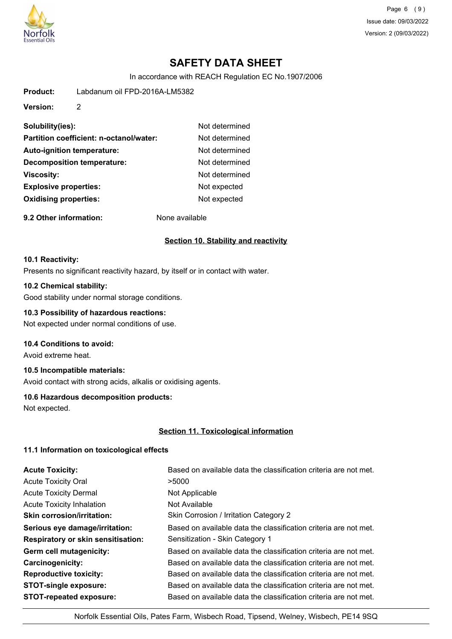

Page 6 (9) Issue date: 09/03/2022 Version: 2 (09/03/2022)

# **SAFETY DATA SHEET**

In accordance with REACH Regulation EC No.1907/2006

**Product:** Labdanum oil FPD-2016A-LM5382

**Version:** 2

| Solubility(ies):                        | Not determined |
|-----------------------------------------|----------------|
| Partition coefficient: n-octanol/water: | Not determined |
| <b>Auto-ignition temperature:</b>       | Not determined |
| <b>Decomposition temperature:</b>       | Not determined |
| <b>Viscosity:</b>                       | Not determined |
| <b>Explosive properties:</b>            | Not expected   |
| <b>Oxidising properties:</b>            | Not expected   |
|                                         |                |

**9.2 Other information:** None available

### **Section 10. Stability and reactivity**

#### **10.1 Reactivity:**

Presents no significant reactivity hazard, by itself or in contact with water.

## **10.2 Chemical stability:**

Good stability under normal storage conditions.

## **10.3 Possibility of hazardous reactions:**

Not expected under normal conditions of use.

## **10.4 Conditions to avoid:**

Avoid extreme heat.

## **10.5 Incompatible materials:**

Avoid contact with strong acids, alkalis or oxidising agents.

### **10.6 Hazardous decomposition products:**

Not expected.

### **Section 11. Toxicological information**

### **11.1 Information on toxicological effects**

| <b>Acute Toxicity:</b>                    | Based on available data the classification criteria are not met. |
|-------------------------------------------|------------------------------------------------------------------|
| <b>Acute Toxicity Oral</b>                | >5000                                                            |
| <b>Acute Toxicity Dermal</b>              | Not Applicable                                                   |
| <b>Acute Toxicity Inhalation</b>          | Not Available                                                    |
| <b>Skin corrosion/irritation:</b>         | Skin Corrosion / Irritation Category 2                           |
| Serious eye damage/irritation:            | Based on available data the classification criteria are not met. |
| <b>Respiratory or skin sensitisation:</b> | Sensitization - Skin Category 1                                  |
| Germ cell mutagenicity:                   | Based on available data the classification criteria are not met. |
| <b>Carcinogenicity:</b>                   | Based on available data the classification criteria are not met. |
| <b>Reproductive toxicity:</b>             | Based on available data the classification criteria are not met. |
| <b>STOT-single exposure:</b>              | Based on available data the classification criteria are not met. |
| <b>STOT-repeated exposure:</b>            | Based on available data the classification criteria are not met. |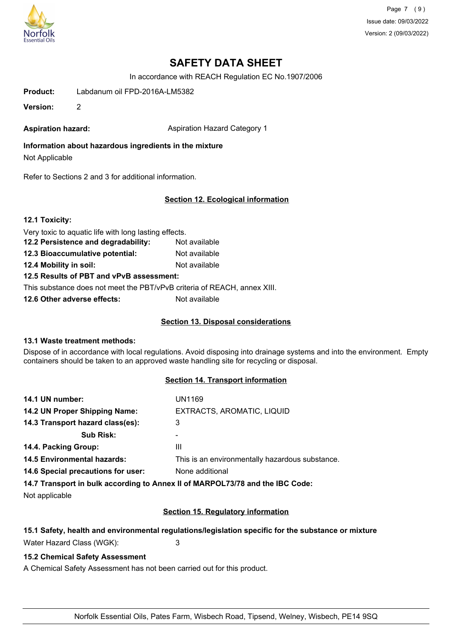

Page 7 (9) Issue date: 09/03/2022 Version: 2 (09/03/2022)

# **SAFETY DATA SHEET**

In accordance with REACH Regulation EC No.1907/2006

**Product:** Labdanum oil FPD-2016A-LM5382

**Version:** 2

**Aspiration hazard:** Aspiration Hazard Category 1

**Information about hazardous ingredients in the mixture** Not Applicable

Refer to Sections 2 and 3 for additional information.

### **Section 12. Ecological information**

**12.1 Toxicity:**

Very toxic to aquatic life with long lasting effects.

- **12.2 Persistence and degradability:** Not available
- **12.3 Bioaccumulative potential:** Not available

**12.4 Mobility in soil:** Not available

**12.5 Results of PBT and vPvB assessment:**

This substance does not meet the PBT/vPvB criteria of REACH, annex XIII.

**12.6 Other adverse effects:** Not available

### **Section 13. Disposal considerations**

### **13.1 Waste treatment methods:**

Dispose of in accordance with local regulations. Avoid disposing into drainage systems and into the environment. Empty containers should be taken to an approved waste handling site for recycling or disposal.

### **Section 14. Transport information**

| 14.1 UN number:                    | UN1169                                          |
|------------------------------------|-------------------------------------------------|
| 14.2 UN Proper Shipping Name:      | EXTRACTS, AROMATIC, LIQUID                      |
| 14.3 Transport hazard class(es):   | 3                                               |
| <b>Sub Risk:</b>                   |                                                 |
| 14.4. Packing Group:               | Ш                                               |
| <b>14.5 Environmental hazards:</b> | This is an environmentally hazardous substance. |
| 14.6 Special precautions for user: | None additional                                 |
|                                    |                                                 |

**14.7 Transport in bulk according to Annex II of MARPOL73/78 and the IBC Code:**

Not applicable

### **Section 15. Regulatory information**

## **15.1 Safety, health and environmental regulations/legislation specific for the substance or mixture**

Water Hazard Class (WGK): 3

### **15.2 Chemical Safety Assessment**

A Chemical Safety Assessment has not been carried out for this product.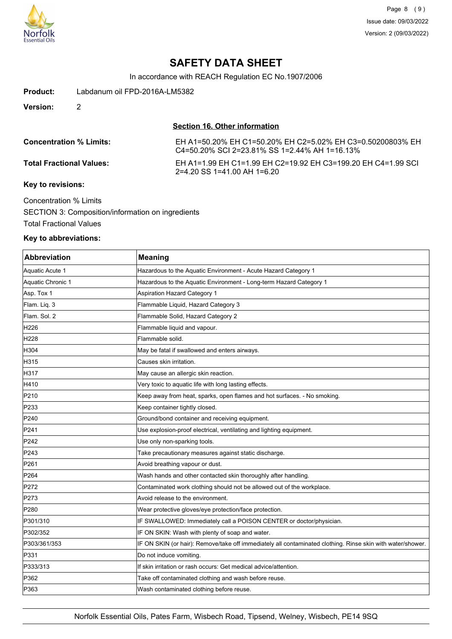

In accordance with REACH Regulation EC No.1907/2006

**Product:** Labdanum oil FPD-2016A-LM5382

**Version:** 2

#### **Section 16. Other information**

| <b>Concentration % Limits:</b>       | EH A1=50.20% EH C1=50.20% EH C2=5.02% EH C3=0.50200803% EH<br>C4=50.20% SCI 2=23.81% SS 1=2.44% AH 1=16.13% |
|--------------------------------------|-------------------------------------------------------------------------------------------------------------|
| <b>Total Fractional Values:</b>      | EH A1=1.99 EH C1=1.99 EH C2=19.92 EH C3=199.20 EH C4=1.99 SCL<br>$2=4.20$ SS 1=41.00 AH 1=6.20              |
| $\boldsymbol{V}$ ari ta waritalamari |                                                                                                             |

#### **Key to revisions:**

Concentration % Limits SECTION 3: Composition/information on ingredients Total Fractional Values

### **Key to abbreviations:**

| <b>Abbreviation</b> | <b>Meaning</b>                                                                                             |
|---------------------|------------------------------------------------------------------------------------------------------------|
| Aquatic Acute 1     | Hazardous to the Aquatic Environment - Acute Hazard Category 1                                             |
| Aquatic Chronic 1   | Hazardous to the Aquatic Environment - Long-term Hazard Category 1                                         |
| Asp. Tox 1          | Aspiration Hazard Category 1                                                                               |
| Flam. Liq. 3        | Flammable Liquid, Hazard Category 3                                                                        |
| Flam, Sol. 2        | Flammable Solid, Hazard Category 2                                                                         |
| H226                | Flammable liquid and vapour.                                                                               |
| H <sub>228</sub>    | Flammable solid.                                                                                           |
| H304                | May be fatal if swallowed and enters airways.                                                              |
| H315                | Causes skin irritation.                                                                                    |
| H317                | May cause an allergic skin reaction.                                                                       |
| H410                | Very toxic to aquatic life with long lasting effects.                                                      |
| P210                | Keep away from heat, sparks, open flames and hot surfaces. - No smoking.                                   |
| P233                | Keep container tightly closed.                                                                             |
| P240                | Ground/bond container and receiving equipment.                                                             |
| P241                | Use explosion-proof electrical, ventilating and lighting equipment.                                        |
| P242                | Use only non-sparking tools.                                                                               |
| P <sub>243</sub>    | Take precautionary measures against static discharge.                                                      |
| P <sub>261</sub>    | Avoid breathing vapour or dust.                                                                            |
| P <sub>264</sub>    | Wash hands and other contacted skin thoroughly after handling.                                             |
| P272                | Contaminated work clothing should not be allowed out of the workplace.                                     |
| P273                | Avoid release to the environment.                                                                          |
| P280                | Wear protective gloves/eye protection/face protection.                                                     |
| P301/310            | IF SWALLOWED: Immediately call a POISON CENTER or doctor/physician.                                        |
| P302/352            | IF ON SKIN: Wash with plenty of soap and water.                                                            |
| P303/361/353        | IF ON SKIN (or hair): Remove/take off immediately all contaminated clothing. Rinse skin with water/shower. |
| P331                | Do not induce vomiting.                                                                                    |
| P333/313            | If skin irritation or rash occurs: Get medical advice/attention.                                           |
| P362                | Take off contaminated clothing and wash before reuse.                                                      |
| P363                | Wash contaminated clothing before reuse.                                                                   |